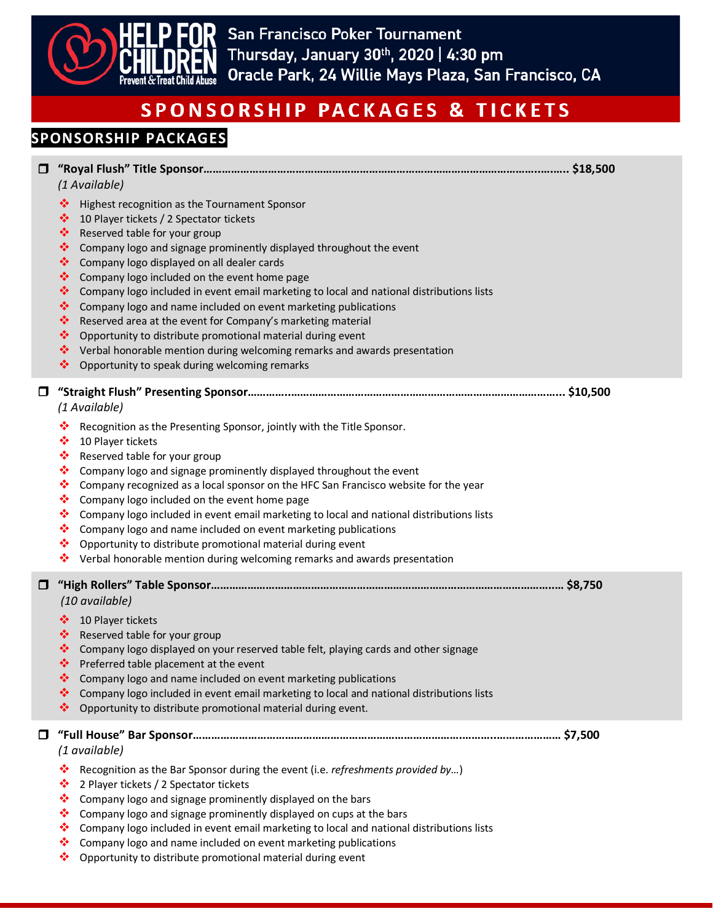

### **SPONSORSHIP PACKAGES**

| 0<br>(1 Available) |                                                                                                                                                                                                                                                                                                                                                                                                                                                                                                                                                                                                                                                                                                                                                                                      |  |  |
|--------------------|--------------------------------------------------------------------------------------------------------------------------------------------------------------------------------------------------------------------------------------------------------------------------------------------------------------------------------------------------------------------------------------------------------------------------------------------------------------------------------------------------------------------------------------------------------------------------------------------------------------------------------------------------------------------------------------------------------------------------------------------------------------------------------------|--|--|
|                    | ❖<br>Highest recognition as the Tournament Sponsor<br>❖<br>10 Player tickets / 2 Spectator tickets<br>❖<br>Reserved table for your group<br>❖<br>Company logo and signage prominently displayed throughout the event<br>❖<br>Company logo displayed on all dealer cards<br>❖<br>Company logo included on the event home page<br>❖<br>Company logo included in event email marketing to local and national distributions lists<br>豪<br>Company logo and name included on event marketing publications<br>❖<br>Reserved area at the event for Company's marketing material<br>豪<br>Opportunity to distribute promotional material during event<br>❖<br>Verbal honorable mention during welcoming remarks and awards presentation<br>❖<br>Opportunity to speak during welcoming remarks |  |  |
|                    | 0<br>(1 Available)<br>❖<br>Recognition as the Presenting Sponsor, jointly with the Title Sponsor.                                                                                                                                                                                                                                                                                                                                                                                                                                                                                                                                                                                                                                                                                    |  |  |
|                    | ❖<br>10 Player tickets<br>❖<br>Reserved table for your group<br>Company logo and signage prominently displayed throughout the event<br>❖<br>❖<br>Company recognized as a local sponsor on the HFC San Francisco website for the year<br>❖<br>Company logo included on the event home page<br>❖<br>Company logo included in event email marketing to local and national distributions lists<br>❖<br>Company logo and name included on event marketing publications<br>❖<br>Opportunity to distribute promotional material during event<br>❖<br>Verbal honorable mention during welcoming remarks and awards presentation                                                                                                                                                              |  |  |
|                    | $\Box$<br>(10 available)                                                                                                                                                                                                                                                                                                                                                                                                                                                                                                                                                                                                                                                                                                                                                             |  |  |
|                    | ❖<br>10 Player tickets<br>❖<br>Reserved table for your group<br>❖<br>Company logo displayed on your reserved table felt, playing cards and other signage<br>❖<br>Preferred table placement at the event<br>❖<br>Company logo and name included on event marketing publications<br>Company logo included in event email marketing to local and national distributions lists<br>❖<br>❖<br>Opportunity to distribute promotional material during event.                                                                                                                                                                                                                                                                                                                                 |  |  |
|                    | 0<br>(1 available)                                                                                                                                                                                                                                                                                                                                                                                                                                                                                                                                                                                                                                                                                                                                                                   |  |  |
|                    | ❖<br>Recognition as the Bar Sponsor during the event (i.e. refreshments provided by)<br>❖<br>2 Player tickets / 2 Spectator tickets<br>❖<br>Company logo and signage prominently displayed on the bars<br>Company logo and signage prominently displayed on cups at the bars<br>❖<br>❖<br>Company logo included in event email marketing to local and national distributions lists<br>Company logo and name included on event marketing publications<br>❖<br>❖<br>Opportunity to distribute promotional material during event                                                                                                                                                                                                                                                        |  |  |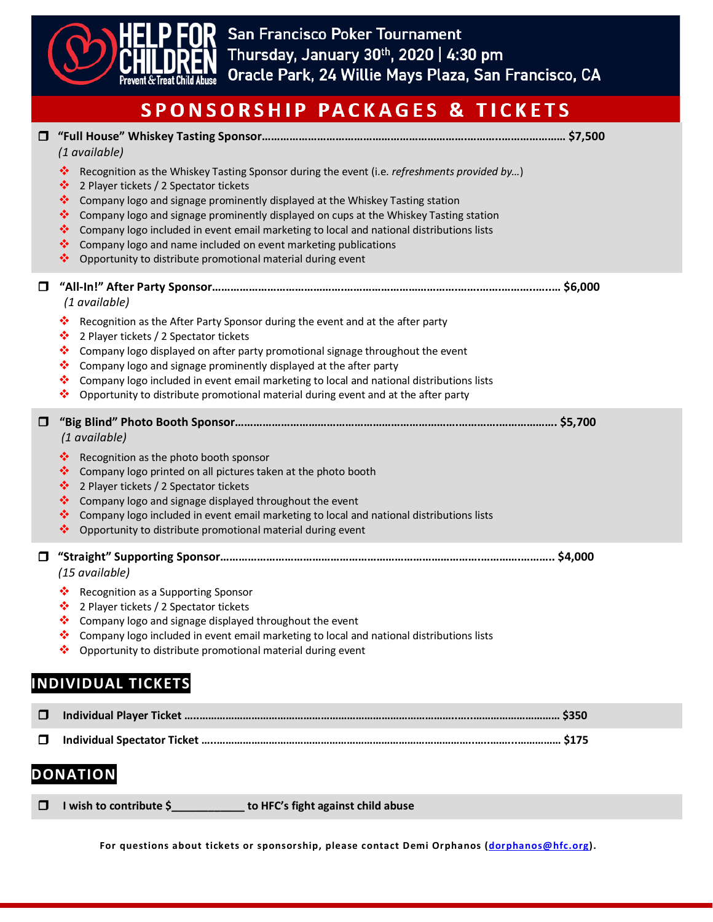

| $\Box$ | (1 available)                                                                                                                                                                                                                                                                                                                                                                                                                                                                                                                                                                   |  |
|--------|---------------------------------------------------------------------------------------------------------------------------------------------------------------------------------------------------------------------------------------------------------------------------------------------------------------------------------------------------------------------------------------------------------------------------------------------------------------------------------------------------------------------------------------------------------------------------------|--|
|        | ❖<br>Recognition as the Whiskey Tasting Sponsor during the event (i.e. refreshments provided by)<br>❖<br>2 Player tickets / 2 Spectator tickets<br>參<br>Company logo and signage prominently displayed at the Whiskey Tasting station<br>❖<br>Company logo and signage prominently displayed on cups at the Whiskey Tasting station<br>❖<br>Company logo included in event email marketing to local and national distributions lists<br>Company logo and name included on event marketing publications<br>❖<br>❖<br>Opportunity to distribute promotional material during event |  |
| $\Box$ | (1 available)                                                                                                                                                                                                                                                                                                                                                                                                                                                                                                                                                                   |  |
|        | ❖<br>Recognition as the After Party Sponsor during the event and at the after party<br>❖<br>2 Player tickets / 2 Spectator tickets<br>❖<br>Company logo displayed on after party promotional signage throughout the event<br>Company logo and signage prominently displayed at the after party<br>❖<br>Company logo included in event email marketing to local and national distributions lists<br>❖<br>❖<br>Opportunity to distribute promotional material during event and at the after party                                                                                 |  |
| $\Box$ | (1 available)                                                                                                                                                                                                                                                                                                                                                                                                                                                                                                                                                                   |  |
|        | Recognition as the photo booth sponsor<br>參<br>❖<br>Company logo printed on all pictures taken at the photo booth<br>2 Player tickets / 2 Spectator tickets<br>參<br>Company logo and signage displayed throughout the event<br>參<br>Company logo included in event email marketing to local and national distributions lists<br>❖<br>❖<br>Opportunity to distribute promotional material during event                                                                                                                                                                           |  |
| $\Box$ | (15 available)                                                                                                                                                                                                                                                                                                                                                                                                                                                                                                                                                                  |  |
|        | 參<br>Recognition as a Supporting Sponsor<br>2 Player tickets / 2 Spectator tickets<br>❖<br>Company logo and signage displayed throughout the event<br>❖<br>Company logo included in event email marketing to local and national distributions lists<br>幸<br>Opportunity to distribute promotional material during event                                                                                                                                                                                                                                                         |  |
|        | <b>INDIVIDUAL TICKETS</b>                                                                                                                                                                                                                                                                                                                                                                                                                                                                                                                                                       |  |
| $\Box$ |                                                                                                                                                                                                                                                                                                                                                                                                                                                                                                                                                                                 |  |
| $\Box$ |                                                                                                                                                                                                                                                                                                                                                                                                                                                                                                                                                                                 |  |
|        | <b>DONATION</b>                                                                                                                                                                                                                                                                                                                                                                                                                                                                                                                                                                 |  |

|  | $\Box$ I wish to contribute \$ | to HFC's fight against child abuse |  |
|--|--------------------------------|------------------------------------|--|
|--|--------------------------------|------------------------------------|--|

**For questions about tickets or sponsorship, please contact Demi Orphanos [\(dorphanos@hfc.org\)](mailto:dorphanos@hfc.org).**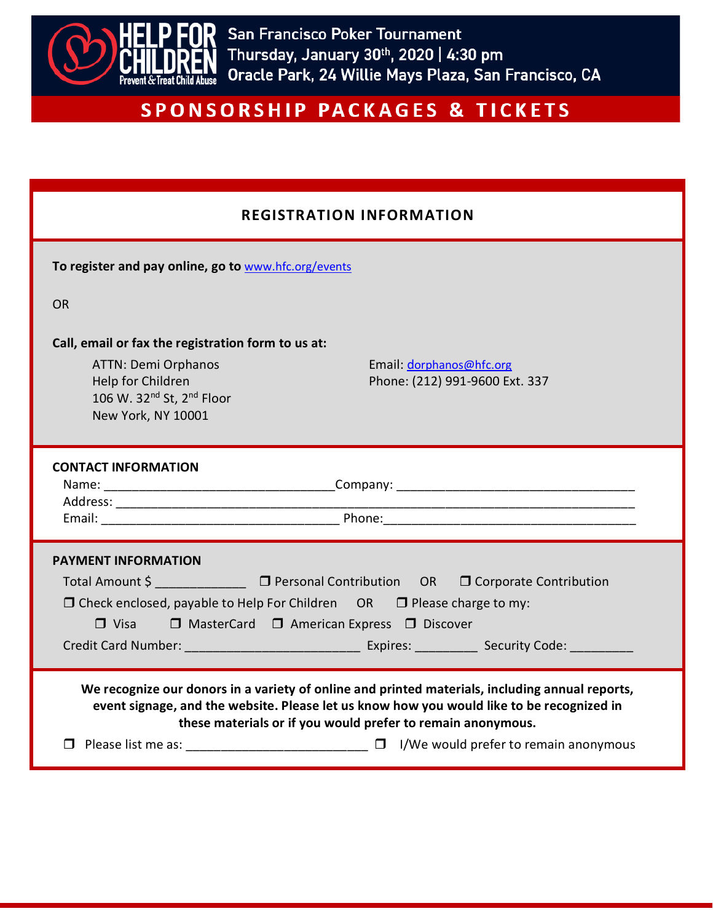

### **REGISTRATION INFORMATION**

| <b>KEGISIKAIIUN INFUKWAIIUN</b>                                                                                                                                                                                                                                  |  |  |  |  |
|------------------------------------------------------------------------------------------------------------------------------------------------------------------------------------------------------------------------------------------------------------------|--|--|--|--|
| To register and pay online, go to www.hfc.org/events                                                                                                                                                                                                             |  |  |  |  |
| <b>OR</b>                                                                                                                                                                                                                                                        |  |  |  |  |
| Call, email or fax the registration form to us at:<br><b>ATTN: Demi Orphanos</b><br>Email: dorphanos@hfc.org<br>Help for Children<br>Phone: (212) 991-9600 Ext. 337<br>106 W. 32nd St, 2nd Floor<br>New York, NY 10001                                           |  |  |  |  |
| <b>CONTACT INFORMATION</b><br>Email: 2008. [2013] Phone: 2014 Phone: 2014 Phone: 2014 Phone: 2014 Phone: 2014 Phone: 2014 Phone: 2014 Phone: 2014 Phone: 2014 Phone: 2014 Phone: 2014 Phone: 2014 Phone: 2014 Phone: 2014 Phone: 2014 Phone: 2014 Phone: 201     |  |  |  |  |
| <b>PAYMENT INFORMATION</b><br>Total Amount \$ □ Personal Contribution OR □ Corporate Contribution<br>$\Box$ Check enclosed, payable to Help For Children OR $\Box$ Please charge to my:<br>$\Box$ Visa $\Box$ MasterCard $\Box$ American Express $\Box$ Discover |  |  |  |  |
| We recognize our donors in a variety of online and printed materials, including annual reports,<br>event signage, and the website. Please let us know how you would like to be recognized in<br>these materials or if you would prefer to remain anonymous.      |  |  |  |  |